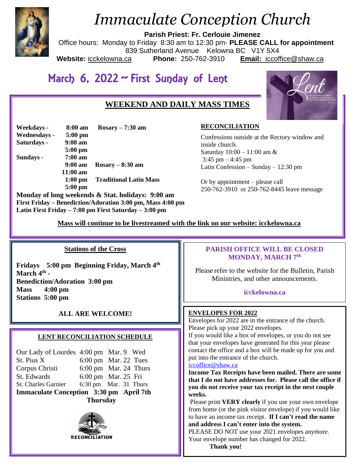

# *Immaculate Conception Church*

**Parish Priest: Fr. Cerlouie Jimenez**

Office hours: Monday to Friday 8:30 am to 12:30 pm- **PLEASE CALL for appointment** 839 Sutherland Avenue Kelowna BC V1Y 5X4<br>ca **Phone:** 250-762-3910 **Email:** iccoft **Website:** icckelowna.ca **Phone:** 250-762-3910 **Email:** iccoffice@shaw.ca

# March 6, 2022 ~ First Sunday of Lent

# **WEEKEND AND DAILY MASS TIMES**

| Weekdays -   | 8:00 am           | $Rosary - 7:30 am$                           |
|--------------|-------------------|----------------------------------------------|
| Wednesdays - | $5:00$ pm         |                                              |
| Saturdays -  | $9:00$ am         |                                              |
|              | $5:00$ pm         |                                              |
| Sundays -    | $7:00 \text{ am}$ |                                              |
|              | 9:00 am           | $Rosary - 8:30$ am                           |
|              | $11:00$ am        |                                              |
|              | $1:00$ pm         | <b>Traditional Latin Mass</b>                |
|              | $5:00$ pm         |                                              |
|              |                   | Monday of long weekends & Stat holidays: 0.0 |

**Monday of long weekends & Stat. holidays: 9:00 am First Friday – Benediction/Adoration 3:00 pm, Mass 4:00 pm Latin First Friday – 7:00 pm First Saturday – 3:00 pm** 

# **RECONCILIATION**

Confessions outside at the Rectory window and inside church. Saturday 10:00 – 11:00 am &  $3:45$  pm  $-4:45$  pm Latin Confession – Sunday – 12:30 pm

Or by appointment – please call 250-762-3910 or 250-762-8445 leave message

 **Mass will continue to be livestreamed with the link on our website: icckelowna.ca**

#### Ī **Stations of the Cross**

**Fridays 5:00 pm Beginning Friday, March 4th March 4th - Benediction/Adoration 3:00 pm Mass 4:00 pm Stations 5:00 pm**

# **ALL ARE WELCOME! ENVELOPES FOR 2022**

## **LENT RECONCILIATION SCHEDULE**

| <b>Thursday</b>                         |  |                                 |  |  |
|-----------------------------------------|--|---------------------------------|--|--|
| Immaculate Conception 3:30 pm April 7th |  |                                 |  |  |
| St. Charles Garnier                     |  | 6:30 pm Mar. 31 Thurs           |  |  |
| St. Edwards                             |  | 6:00 pm Mar. 25 Fri             |  |  |
| Corpus Christi                          |  | $6:00 \text{ pm}$ Mar. 24 Thurs |  |  |
| St. Pius X                              |  | $6:00 \text{ pm}$ Mar. 22 Tues  |  |  |
| Our Lady of Lourdes 4:00 pm Mar. 9 Wed  |  |                                 |  |  |



# **PARISH OFFICE WILL BE CLOSED MONDAY, MARCH 7th**

Please refer to the website for the Bulletin, Parish Ministries, and other announcements.

#### **icckelowna.ca**

Envelopes for 2022 are in the entrance of the church. Please pick up your 2022 envelopes.

If you would like a box of envelopes, or you do not see that your envelopes have generated for this year please contact the office and a box will be made up for you and put into the entrance of the church.

#### [iccoffice@shaw.ca](mailto:iccoffice@shaw.ca)

**Income Tax Receipts have been mailed. There are some that I do not have addresses for. Please call the office if you do not receive your tax receipt in the next couple weeks.** 

Please print **VERY clearly** if you use your own envelope from home (or the pink visitor envelope) if you would like to have an income tax receipt. **If I can't read the name and address I can't enter into the system.** 

PLEASE DO NOT use your 2021 envelopes anymore. Your envelope number has changed for 2022.

 **Thank you!**

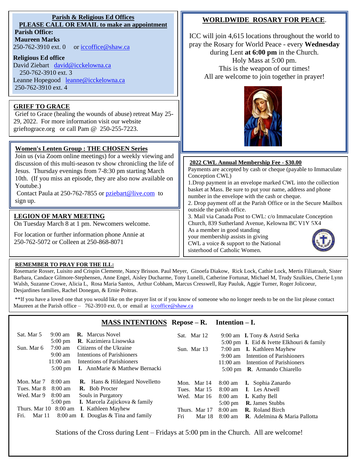#### **Parish & Religious Ed Offices PLEASE CALL OR EMAIL to make an appointment Parish Office: Maureen Marks**  250-762-3910 ext. 0 or [iccoffice@shaw.ca](mailto:iccoffice@shaw.ca) **Religious Ed office** David Ziebart [david@icckelowna.ca](mailto:david@icckelowna.ca)  250-762-3910 ext. 3 Holy Mass at 5:00 pm. This is the weapon of our times!

Leanne Hopegood [leanne@icckelowna.ca](mailto:leanne@icckelowna.ca) 250-762-3910 ext. 4

# **GRIEF TO GRACE**

Grief to Grace (healing the wounds of abuse) retreat May 25- 29, 2022. For more information visit our website grieftograce.org or call Pam @ 250-255-7223.

## **Women's Lenten Group : THE CHOSEN Series**

Join us (via Zoom online meetings) for a weekly viewing and discussion of this multi-season tv show chronicling the life of Jesus. Thursday evenings from 7-8:30 pm starting March 10th. (If you miss an episode, they are also now available on Youtube.)

Contact Paula at 250-762-7855 or [pziebart@live.com](mailto:pziebart@live.com) to sign up.

## **LEGION OF MARY MEETING**

On Tuesday March 8 at 1 pm. Newcomers welcome.

For location or further information phone Annie at 250-762-5072 or Colleen at 250-868-8071

# **WORLDWIDE ROSARY FOR PEACE**.

ICC will join 4,615 locations throughout the world to pray the Rosary for World Peace - every **Wednesday** during Lent **at 6:00 pm** in the Church. All are welcome to join together in prayer!



#### **2022 CWL Annual Membership Fee - \$30.00**

Payments are accepted by cash or cheque (payable to Immaculate Conception CWL)

1.Drop payment in an envelope marked CWL into the collection basket at Mass. Be sure to put your name, address and phone number in the envelope with the cash or cheque.

2. Drop payment off at the Parish Office or in the Secure Mailbox outside the parish office.

3. Mail via Canada Post to CWL: c/o Immaculate Conception Church, 839 Sutherland Avenue, Kelowna BC V1Y 5X4 As a member in good standing

your membership assists in giving

CWL a voice & support to the National sisterhood of Catholic Women.



#### **REMEMBER TO PRAY FOR THE ILL:**

 $\overline{a}$ 

Rosemarie Rosser, Luisito and Crispin Clemente, Nancy Brisson. Paul Meyer, Ginoefa Diakow, Rick Lock, Cathie Lock, Mertis Filiatrault, Sister Barbara, Candace Gilmore-Stephensen, Anne Engel, Aisley Ducharme, Tony Lunelli, Catherine Fortunat, Michael M, Trudy Szulkies, Cherie Lynn Walsh, Suzanne Crowe, Alicia L, Rosa Maria Santos, Arthur Cobham, Marcus Cresswell, Ray Pauluk, Aggie Turner, Roger Jolicoeur, Desjardines families, Rachel Donegan, & Ernie Poitras.

\*\*If you have a loved one that you would like on the prayer list or if you know of someone who no longer needs to be on the list please contact Maureen at the Parish office – 762-3910 ext. 0, or email at iccoffice@shaw.ca

|                |                                         | <b>MASS INTENTIONS</b> Repose $-R$ . Intention $-I$ .                            |                                       |                                                                                                     |
|----------------|-----------------------------------------|----------------------------------------------------------------------------------|---------------------------------------|-----------------------------------------------------------------------------------------------------|
| Sat. Mar 5     | $9:00 \text{ am}$                       | <b>R.</b> Marcus Novel                                                           | Sat. Mar 12                           | 9:00 am <b>I.</b> Tony & Astrid Serka                                                               |
| Sun. Mar 6     | $5:00 \text{ pm}$<br>$7:00 \text{ am}$  | <b>R.</b> Kazimiera Lisowska<br>Citizens of the Ukraine                          | Sun. Mar 13                           | 5:00 pm I. Eid & Ivette Elkhouri & family<br>7:00 am <b>I.</b> Kathleen Mayhew                      |
|                | $9:00 \text{ am}$                       | Intentions of Parishioners                                                       |                                       | Intention of Parishioners<br>$9:00 \text{ am}$                                                      |
|                | $11:00 \text{ am}$<br>$5:00 \text{ pm}$ | Intentions of Parishioners<br><b>I.</b> AnnMarie & Matthew Bernacki              |                                       | $11:00 \text{ am}$<br>Intention of Parishioners<br><b>R.</b> Armando Chiarello<br>$5:00 \text{ pm}$ |
| Mon. Mar 7     |                                         |                                                                                  |                                       |                                                                                                     |
| Tues. Mar 8    | $8:00 \text{ am}$<br>$8:00$ am          | <b>R.</b> Hans & Hildegard Novelletto<br><b>R.</b> Bob Procter                   | Mon. Mar 14<br><b>Mar</b> 15<br>Tues. | <b>I.</b> Sophia Zanardo<br>$8:00 \text{ am}$<br><b>I.</b> Les Atwell<br>$8:00 \text{ am}$          |
| Wed. Mar 9     | $8:00 \text{ am}$                       | Souls in Purgatory                                                               | Mar 16<br>Wed.                        | $8:00 \text{ am}$<br><b>I.</b> Kathy Bell                                                           |
|                | $5:00 \text{ pm}$                       | <b>I.</b> Marcela Zajickova & family<br>Thurs. Mar 10 8:00 am I. Kathleen Mayhew | Thurs. Mar 17                         | <b>R.</b> James Stubbs<br>$5:00 \text{ pm}$<br>$8:00$ am<br><b>R.</b> Roland Birch                  |
| Fri.<br>Mar 11 |                                         | 8:00 am I. Douglas & Tina and family                                             | Fri<br>Mar 18                         | $8:00 \text{ am}$<br><b>R.</b> Adelmina & Maria Pallotta                                            |

Stations of the Cross during Lent – Fridays at 5:00 pm in the Church. All are welcome!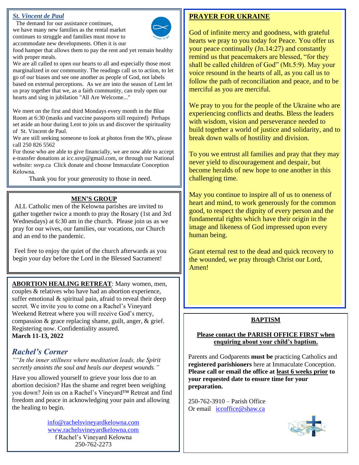# *St. Vincent de Paul*

 The demand for our assistance continues, we have many new families as the rental market continues to struggle and families must move to accommodate new developments. Often it is our



food hamper that allows them to pay the rent and yet remain healthy with proper meals.

We are all called to open our hearts to all and especially those most marginalized in our community. The readings call us to action, to let go of our biases and see one another as people of God, not labels based on external perceptions. As we are into the season of Lent let us pray together that we, as a faith community, can truly open our hearts and sing in jubilation "All Are Welcome..."

We meet on the first and third Mondays every month in the Blue Room at 6:30 (masks and vaccine passports still required) Perhaps set aside an hour during Lent to join us and discover the spirituality of St. Vincent de Paul.

We are still seeking someone to look at photos from the 90's, please call 250 826 5562

For those who are able to give financially, we are now able to accept e-transfer donations at icc.ssvp@gmail.com, or through our National website: ssvp.ca Click donate and choose Immaculate Conception Kelowna.

Thank you for your generosity to those in need.

## **MEN'S GROUP**

ALL Catholic men of the Kelowna parishes are invited to gather together twice a month to pray the Rosary (1st and 3rd Wednesdays) at 6:30 am in the church. Please join us as we pray for our wives, our families, our vocations, our Church and an end to the pandemic.

Feel free to enjoy the quiet of the church afterwards as you begin your day before the Lord in the Blessed Sacrament!

**ABORTION HEALING RETREAT**: Many women, men, couples & relatives who have had an abortion experience, suffer emotional & spiritual pain, afraid to reveal their deep secret. We invite you to come on a Rachel's Vineyard Weekend Retreat where you will receive God's mercy, compassion & grace replacing shame, guilt, anger, & grief. Registering now. Confidentiality assured. **March 11-13, 2022**

# *Rachel's Corner*

*""In the inner stillness where meditation leads, the Spirit secretly anoints the soul and heals our deepest wounds."*

Have you allowed yourself to grieve your loss due to an abortion decision? Has the shame and regret been weighing you down? Join us on a Rachel's Vineyard™ Retreat and find freedom and peace in acknowledging your pain and allowing the healing to begin.

> [info@rachelsvineyardkelowna.com](mailto:info@rachelsvineyardkelowna.com) [www.rachelsvineyardkelowna.com](http://www.rachelsvineyardkelowna.com/) f Rachel's Vineyard Kelowna 250-762-2273

# **PRAYER FOR UKRAINE**

God of infinite mercy and goodness, with grateful hearts we pray to you today for Peace. You offer us your peace continually (Jn.14:27) and constantly remind us that peacemakers are blessed, "for they shall be called children of God" (Mt.5:9). May your voice resound in the hearts of all, as you call us to follow the path of reconciliation and peace, and to be merciful as you are merciful.

We pray to you for the people of the Ukraine who are experiencing conflicts and deaths. Bless the leaders with wisdom, vision and perseverance needed to build together a world of justice and solidarity, and to break down walls of hostility and division.

To you we entrust all families and pray that they may never yield to discouragement and despair, but become heralds of new hope to one another in this challenging time.

May you continue to inspire all of us to oneness of heart and mind, to work generously for the common good, to respect the dignity of every person and the fundamental rights which have their origin in the image and likeness of God impressed upon every human being.

Grant eternal rest to the dead and quick recovery to the wounded, we pray through Christ our Lord, Amen!

# **BAPTISM**

#### **Please contact the PARISH OFFICE FIRST when enquiring about your child's baptism.**

Parents and Godparents **must be** practicing Catholics and **registered parishioners** here at Immaculate Conception. **Please call or email the office at least 6 weeks prior to your requested date to ensure time for your preparation.** 

250-762-3910 – Parish Office Or email [iccoffice@shaw.ca](mailto:iccoffice@shaw.ca)